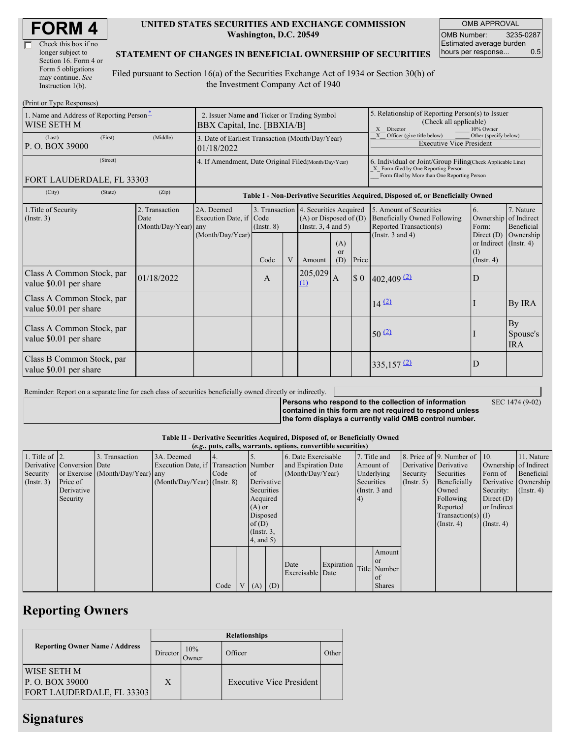| Check this box if no  |
|-----------------------|
| longer subject to     |
| Section 16. Form 4 or |
| Form 5 obligations    |
| may continue. See     |
| Instruction 1(b).     |

#### **UNITED STATES SECURITIES AND EXCHANGE COMMISSION Washington, D.C. 20549**

OMB APPROVAL OMB Number: 3235-0287 Estimated average burden hours per response... 0.5

#### **STATEMENT OF CHANGES IN BENEFICIAL OWNERSHIP OF SECURITIES**

Filed pursuant to Section 16(a) of the Securities Exchange Act of 1934 or Section 30(h) of the Investment Company Act of 1940

| (Print or Type Responses)                               |                                                                            |                                                           |                 |   |                                                                                                 |                                                                                                       |                                                                                                                                                    |                                                                                           |                                                              |                              |  |
|---------------------------------------------------------|----------------------------------------------------------------------------|-----------------------------------------------------------|-----------------|---|-------------------------------------------------------------------------------------------------|-------------------------------------------------------------------------------------------------------|----------------------------------------------------------------------------------------------------------------------------------------------------|-------------------------------------------------------------------------------------------|--------------------------------------------------------------|------------------------------|--|
| 1. Name and Address of Reporting Person-<br>WISE SETH M | 2. Issuer Name and Ticker or Trading Symbol<br>BBX Capital, Inc. [BBXIA/B] |                                                           |                 |   |                                                                                                 | 5. Relationship of Reporting Person(s) to Issuer<br>(Check all applicable)<br>X Director<br>10% Owner |                                                                                                                                                    |                                                                                           |                                                              |                              |  |
| (First)<br>(Last)<br>P. O. BOX 39000                    | 3. Date of Earliest Transaction (Month/Day/Year)<br>01/18/2022             |                                                           |                 |   |                                                                                                 | Officer (give title below)<br>Other (specify below)<br>X<br><b>Executive Vice President</b>           |                                                                                                                                                    |                                                                                           |                                                              |                              |  |
| (Street)                                                | 4. If Amendment, Date Original Filed(Month/Day/Year)                       |                                                           |                 |   |                                                                                                 |                                                                                                       | 6. Individual or Joint/Group Filing Check Applicable Line)<br>X Form filed by One Reporting Person<br>Form filed by More than One Reporting Person |                                                                                           |                                                              |                              |  |
| FORT LAUDERDALE, FL 33303                               |                                                                            |                                                           |                 |   |                                                                                                 |                                                                                                       |                                                                                                                                                    |                                                                                           |                                                              |                              |  |
| (State)<br>(City)                                       | (Zip)                                                                      |                                                           |                 |   |                                                                                                 |                                                                                                       |                                                                                                                                                    | Table I - Non-Derivative Securities Acquired, Disposed of, or Beneficially Owned          |                                                              |                              |  |
| 1. Title of Security<br>(Insert. 3)                     | 2. Transaction<br>Date<br>(Month/Day/Year) any                             | 2A. Deemed<br>Execution Date, if Code<br>(Month/Day/Year) | $($ Instr. $8)$ |   | 3. Transaction 4. Securities Acquired<br>$(A)$ or Disposed of $(D)$<br>(Instr. $3, 4$ and $5$ ) |                                                                                                       |                                                                                                                                                    | 5. Amount of Securities<br><b>Beneficially Owned Following</b><br>Reported Transaction(s) | 6.<br>Ownership of Indirect<br>Form:                         | 7. Nature<br>Beneficial      |  |
|                                                         |                                                                            |                                                           | Code            | V | Amount                                                                                          | (A)<br><sub>or</sub><br>(D)                                                                           | Price                                                                                                                                              | (Instr. $3$ and $4$ )                                                                     | Direct $(D)$<br>or Indirect (Instr. 4)<br>(I)<br>(Insert, 4) | Ownership                    |  |
| Class A Common Stock, par<br>value \$0.01 per share     | 01/18/2022                                                                 |                                                           | A               |   | 205,029<br>(1)                                                                                  | IA.                                                                                                   | \$0                                                                                                                                                | $402,409$ $(2)$                                                                           | D                                                            |                              |  |
| Class A Common Stock, par<br>value \$0.01 per share     |                                                                            |                                                           |                 |   |                                                                                                 |                                                                                                       |                                                                                                                                                    | 14(2)                                                                                     |                                                              | By IRA                       |  |
| Class A Common Stock, par<br>value \$0.01 per share     |                                                                            |                                                           |                 |   |                                                                                                 |                                                                                                       |                                                                                                                                                    | $50^{(2)}$                                                                                |                                                              | By<br>Spouse's<br><b>IRA</b> |  |
| Class B Common Stock, par<br>value \$0.01 per share     |                                                                            |                                                           |                 |   |                                                                                                 |                                                                                                       |                                                                                                                                                    | $335,157$ <sup>(2)</sup>                                                                  | D                                                            |                              |  |

Reminder: Report on a separate line for each class of securities beneficially owned directly or indirectly.

**Persons who respond to the collection of information contained in this form are not required to respond unless the form displays a currently valid OMB control number.**

SEC 1474 (9-02)

**Table II - Derivative Securities Acquired, Disposed of, or Beneficially Owned**

|                        |                            |                                  |                                       |      |                |                        |            | (e.g., puts, calls, warrants, options, convertible securities) |               |                       |               |                       |                          |                      |            |
|------------------------|----------------------------|----------------------------------|---------------------------------------|------|----------------|------------------------|------------|----------------------------------------------------------------|---------------|-----------------------|---------------|-----------------------|--------------------------|----------------------|------------|
| 1. Title of $\vert$ 2. |                            | 3. Transaction                   | 3A. Deemed                            |      |                |                        |            | 6. Date Exercisable                                            |               |                       | 7. Title and  |                       | 8. Price of 9. Number of | 10.                  | 11. Nature |
|                        | Derivative Conversion Date |                                  | Execution Date, if Transaction Number |      |                | and Expiration Date    |            | Amount of                                                      |               | Derivative Derivative |               | Ownership of Indirect |                          |                      |            |
| Security               |                            | or Exercise (Month/Day/Year) any |                                       | Code |                | (Month/Day/Year)<br>of |            | Underlying                                                     |               | Security              | Securities    | Form of               | Beneficial               |                      |            |
| (Insert. 3)            | Price of                   |                                  | $(Month/Day/Year)$ (Instr. 8)         |      |                | Derivative             |            |                                                                |               | Securities            |               | $($ Instr. 5 $)$      | Beneficially             | Derivative Ownership |            |
|                        | Derivative                 |                                  |                                       |      |                |                        | Securities |                                                                | (Instr. 3 and |                       |               | Owned                 | Security:                | $($ Instr. 4 $)$     |            |
|                        | Security                   |                                  |                                       |      |                | Acquired               |            |                                                                |               | 4)                    |               |                       | Following                | Direct $(D)$         |            |
|                        |                            |                                  |                                       |      |                | $(A)$ or               |            |                                                                |               |                       |               |                       | Reported                 | or Indirect          |            |
|                        |                            |                                  |                                       |      |                | Disposed               |            |                                                                |               |                       |               | $Transaction(s)$ (I)  |                          |                      |            |
|                        |                            |                                  |                                       |      |                | of $(D)$               |            |                                                                |               |                       |               |                       | $($ Instr. 4 $)$         | $($ Instr. 4 $)$     |            |
|                        |                            |                                  |                                       |      |                | $($ Instr. 3,          |            |                                                                |               |                       |               |                       |                          |                      |            |
|                        |                            |                                  |                                       |      |                | (4, and 5)             |            |                                                                |               |                       |               |                       |                          |                      |            |
|                        |                            |                                  |                                       |      |                |                        |            |                                                                |               |                       | Amount        |                       |                          |                      |            |
|                        |                            |                                  |                                       |      |                |                        |            | Date                                                           | Expiration    |                       | l or          |                       |                          |                      |            |
|                        |                            |                                  |                                       |      |                |                        |            | Exercisable Date                                               |               |                       | Title Number  |                       |                          |                      |            |
|                        |                            |                                  |                                       |      |                |                        |            |                                                                |               |                       | of            |                       |                          |                      |            |
|                        |                            |                                  |                                       | Code | V <sub>1</sub> | $(A)$ $(D)$            |            |                                                                |               |                       | <b>Shares</b> |                       |                          |                      |            |

## **Reporting Owners**

| <b>Relationships</b> |                                  |                          |       |  |  |  |  |  |
|----------------------|----------------------------------|--------------------------|-------|--|--|--|--|--|
| Director             | 10%<br>Owner                     | Officer                  | Other |  |  |  |  |  |
| X                    |                                  | Executive Vice President |       |  |  |  |  |  |
|                      | <b>FORT LAUDERDALE, FL 33303</b> |                          |       |  |  |  |  |  |

## **Signatures**